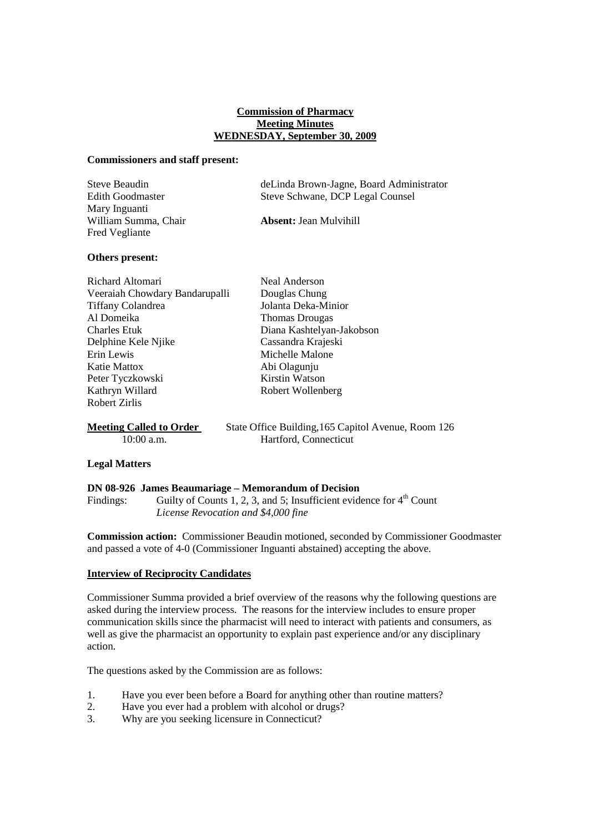# **Commission of Pharmacy Meeting Minutes WEDNESDAY, September 30, 2009**

### **Commissioners and staff present:**

| Steve Beaudin           | deLinda Brown-Jagne, Board Administrator |
|-------------------------|------------------------------------------|
| <b>Edith Goodmaster</b> | Steve Schwane, DCP Legal Counsel         |
| Mary Inguanti           |                                          |
| William Summa, Chair    | <b>Absent: Jean Mulvihill</b>            |
| Fred Vegliante          |                                          |

# **Others present:**

| Richard Altomari               | <b>Neal Anderson</b>      |  |
|--------------------------------|---------------------------|--|
| Veeraiah Chowdary Bandarupalli | Douglas Chung             |  |
| <b>Tiffany Colandrea</b>       | Jolanta Deka-Minior       |  |
| Al Domeika                     | Thomas Drougas            |  |
| <b>Charles Etuk</b>            | Diana Kashtelyan-Jakobson |  |
| Delphine Kele Njike            | Cassandra Krajeski        |  |
| Erin Lewis                     | Michelle Malone           |  |
| Katie Mattox                   | Abi Olagunju              |  |
| Peter Tyczkowski               | Kirstin Watson            |  |
| Kathryn Willard                | Robert Wollenberg         |  |
| <b>Robert Zirlis</b>           |                           |  |
| $\sim$ $\sim$ $\sim$ $\sim$    |                           |  |

**Meeting Called to Order** State Office Building, 165 Capitol Avenue, Room 126 10:00 a.m. Hartford, Connecticut

# **Legal Matters**

#### **DN 08-926 James Beaumariage – Memorandum of Decision**

Findings: Guilty of Counts 1, 2, 3, and 5; Insufficient evidence for  $4<sup>th</sup>$  Count *License Revocation and \$4,000 fine*

**Commission action:** Commissioner Beaudin motioned, seconded by Commissioner Goodmaster and passed a vote of 4-0 (Commissioner Inguanti abstained) accepting the above.

# **Interview of Reciprocity Candidates**

Commissioner Summa provided a brief overview of the reasons why the following questions are asked during the interview process. The reasons for the interview includes to ensure proper communication skills since the pharmacist will need to interact with patients and consumers, as well as give the pharmacist an opportunity to explain past experience and/or any disciplinary action.

The questions asked by the Commission are as follows:

- 1. Have you ever been before a Board for anything other than routine matters?
- 2. Have you ever had a problem with alcohol or drugs?
- 3. Why are you seeking licensure in Connecticut?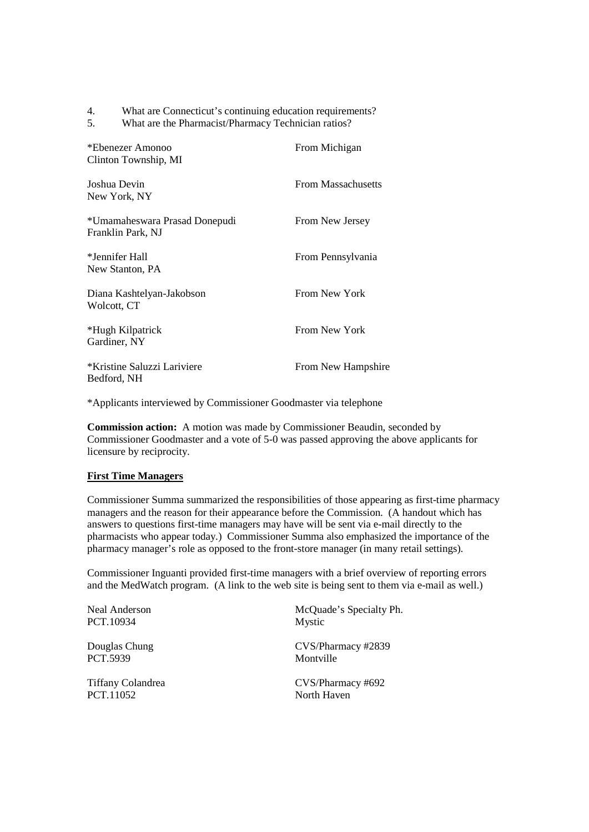| What are Connecticut's continuing education requirements? | 4. |  |  |  |  |  |  |
|-----------------------------------------------------------|----|--|--|--|--|--|--|
|-----------------------------------------------------------|----|--|--|--|--|--|--|

5. What are the Pharmacist/Pharmacy Technician ratios?

| *Ebenezer Amonoo<br>Clinton Township, MI           | From Michigan      |
|----------------------------------------------------|--------------------|
| Joshua Devin<br>New York, NY                       | From Massachusetts |
| *Umamaheswara Prasad Donepudi<br>Franklin Park, NJ | From New Jersey    |
| *Jennifer Hall<br>New Stanton, PA                  | From Pennsylvania  |
| Diana Kashtelyan-Jakobson<br>Wolcott, CT           | From New York      |
| *Hugh Kilpatrick<br>Gardiner, NY                   | From New York      |
| *Kristine Saluzzi Lariviere<br>Bedford, NH         | From New Hampshire |

\*Applicants interviewed by Commissioner Goodmaster via telephone

**Commission action:** A motion was made by Commissioner Beaudin, seconded by Commissioner Goodmaster and a vote of 5-0 was passed approving the above applicants for licensure by reciprocity.

# **First Time Managers**

Commissioner Summa summarized the responsibilities of those appearing as first-time pharmacy managers and the reason for their appearance before the Commission. (A handout which has answers to questions first-time managers may have will be sent via e-mail directly to the pharmacists who appear today.) Commissioner Summa also emphasized the importance of the pharmacy manager's role as opposed to the front-store manager (in many retail settings).

Commissioner Inguanti provided first-time managers with a brief overview of reporting errors and the MedWatch program. (A link to the web site is being sent to them via e-mail as well.)

| <b>Neal Anderson</b> | McQuade's Specialty Ph. |
|----------------------|-------------------------|
| PCT.10934            | Mystic                  |
| Douglas Chung        | CVS/Pharmacy #2839      |
| PCT.5939             | Montville               |
| Tiffany Colandrea    | CVS/Pharmacy #692       |
| PCT.11052            | North Haven             |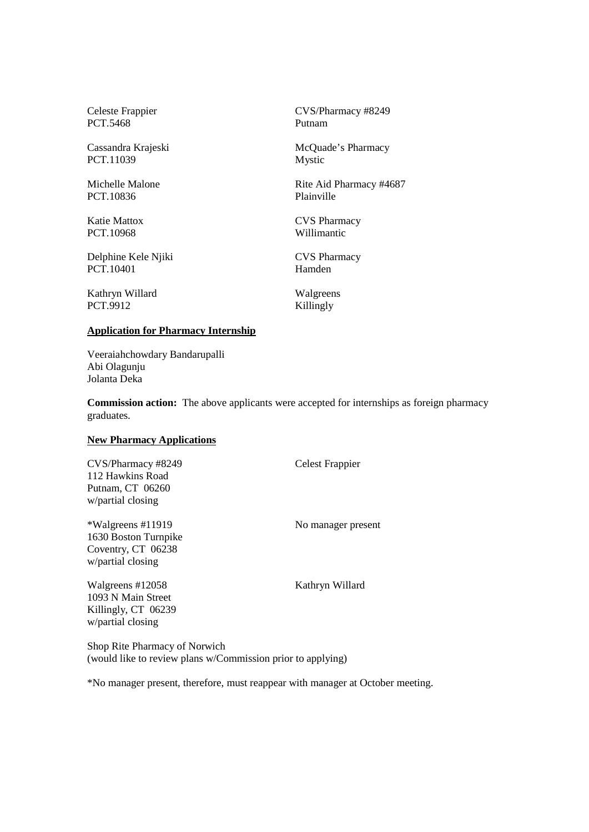PCT.5468 Putnam

PCT.11039 Mystic

PCT.10836 Plainville

PCT.10968 Willimantic

Delphine Kele Njiki CVS Pharmacy PCT.10401 Hamden

Kathryn Willard Walgreens PCT.9912 Killingly

Celeste Frappier CVS/Pharmacy #8249

Cassandra Krajeski McQuade's Pharmacy

Michelle Malone Rite Aid Pharmacy #4687

Katie Mattox **CVS Pharmacy** 

# **Application for Pharmacy Internship**

Veeraiahchowdary Bandarupalli Abi Olagunju Jolanta Deka

**Commission action:** The above applicants were accepted for internships as foreign pharmacy graduates.

# **New Pharmacy Applications**

CVS/Pharmacy #8249 Celest Frappier 112 Hawkins Road Putnam, CT 06260 w/partial closing

\*Walgreens #11919 No manager present 1630 Boston Turnpike Coventry, CT 06238 w/partial closing

Walgreens #12058 Kathryn Willard 1093 N Main Street Killingly, CT 06239 w/partial closing

Shop Rite Pharmacy of Norwich (would like to review plans w/Commission prior to applying)

\*No manager present, therefore, must reappear with manager at October meeting.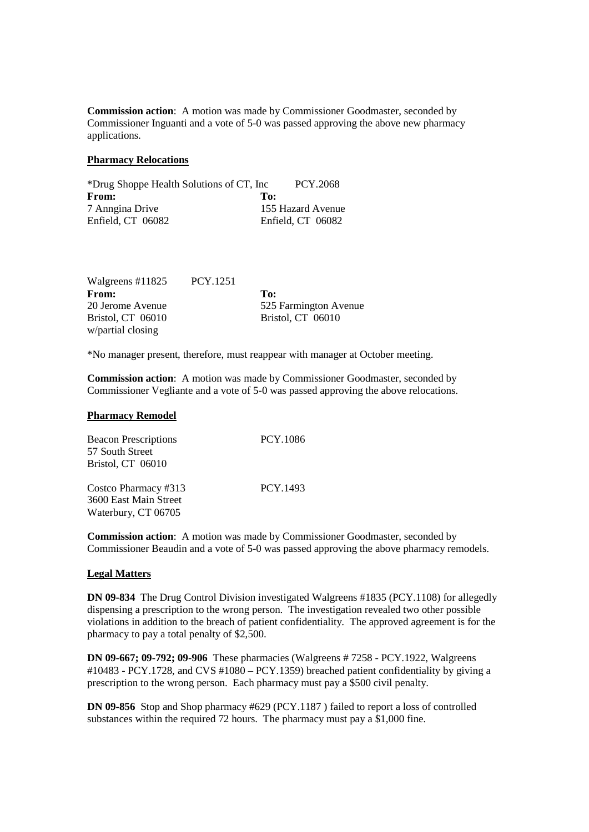**Commission action**: A motion was made by Commissioner Goodmaster, seconded by Commissioner Inguanti and a vote of 5-0 was passed approving the above new pharmacy applications.

# **Pharmacy Relocations**

| *Drug Shoppe Health Solutions of CT, Inc | PCY.2068          |
|------------------------------------------|-------------------|
| From:                                    | To:               |
| 7 Anngina Drive                          | 155 Hazard Avenue |
| Enfield, CT 06082                        | Enfield, CT 06082 |

| Walgreens #11825  | <b>PCY.1251</b> |                          |
|-------------------|-----------------|--------------------------|
| From:             |                 | To:                      |
| 20 Jerome Avenue  |                 | 525 Farmington Avenue    |
| Bristol, CT 06010 |                 | <b>Bristol, CT 06010</b> |
| w/partial closing |                 |                          |

\*No manager present, therefore, must reappear with manager at October meeting.

**Commission action**: A motion was made by Commissioner Goodmaster, seconded by Commissioner Vegliante and a vote of 5-0 was passed approving the above relocations.

### **Pharmacy Remodel**

| <b>Beacon Prescriptions</b> | PCY.1086 |
|-----------------------------|----------|
| 57 South Street             |          |
| Bristol, CT 06010           |          |
|                             |          |
| Costco Pharmacy #313        | PCY.1493 |
| 3600 East Main Street       |          |
| Waterbury, CT 06705         |          |

**Commission action**: A motion was made by Commissioner Goodmaster, seconded by Commissioner Beaudin and a vote of 5-0 was passed approving the above pharmacy remodels.

# **Legal Matters**

**DN 09-834** The Drug Control Division investigated Walgreens #1835 (PCY.1108) for allegedly dispensing a prescription to the wrong person. The investigation revealed two other possible violations in addition to the breach of patient confidentiality. The approved agreement is for the pharmacy to pay a total penalty of \$2,500.

**DN 09-667; 09-792; 09-906** These pharmacies (Walgreens # 7258 - PCY.1922, Walgreens #10483 - PCY.1728, and CVS #1080 – PCY.1359) breached patient confidentiality by giving a prescription to the wrong person. Each pharmacy must pay a \$500 civil penalty.

**DN 09-856** Stop and Shop pharmacy #629 (PCY.1187 ) failed to report a loss of controlled substances within the required 72 hours. The pharmacy must pay a \$1,000 fine.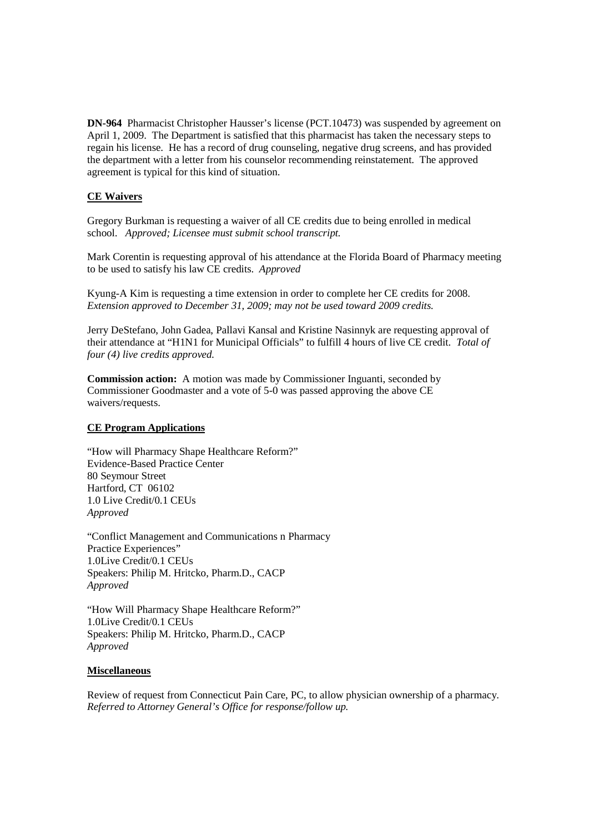**DN-964** Pharmacist Christopher Hausser's license (PCT.10473) was suspended by agreement on April 1, 2009. The Department is satisfied that this pharmacist has taken the necessary steps to regain his license. He has a record of drug counseling, negative drug screens, and has provided the department with a letter from his counselor recommending reinstatement. The approved agreement is typical for this kind of situation.

# **CE Waivers**

Gregory Burkman is requesting a waiver of all CE credits due to being enrolled in medical school. *Approved; Licensee must submit school transcript.*

Mark Corentin is requesting approval of his attendance at the Florida Board of Pharmacy meeting to be used to satisfy his law CE credits. *Approved*

Kyung-A Kim is requesting a time extension in order to complete her CE credits for 2008. *Extension approved to December 31, 2009; may not be used toward 2009 credits.*

Jerry DeStefano, John Gadea, Pallavi Kansal and Kristine Nasinnyk are requesting approval of their attendance at "H1N1 for Municipal Officials" to fulfill 4 hours of live CE credit. *Total of four (4) live credits approved.*

**Commission action:** A motion was made by Commissioner Inguanti, seconded by Commissioner Goodmaster and a vote of 5-0 was passed approving the above CE waivers/requests.

# **CE Program Applications**

"How will Pharmacy Shape Healthcare Reform?" Evidence-Based Practice Center 80 Seymour Street Hartford, CT 06102 1.0 Live Credit/0.1 CEUs *Approved*

"Conflict Management and Communications n Pharmacy Practice Experiences" 1.0Live Credit/0.1 CEUs Speakers: Philip M. Hritcko, Pharm.D., CACP *Approved*

"How Will Pharmacy Shape Healthcare Reform?" 1.0Live Credit/0.1 CEUs Speakers: Philip M. Hritcko, Pharm.D., CACP *Approved*

# **Miscellaneous**

Review of request from Connecticut Pain Care, PC, to allow physician ownership of a pharmacy. *Referred to Attorney General's Office for response/follow up.*